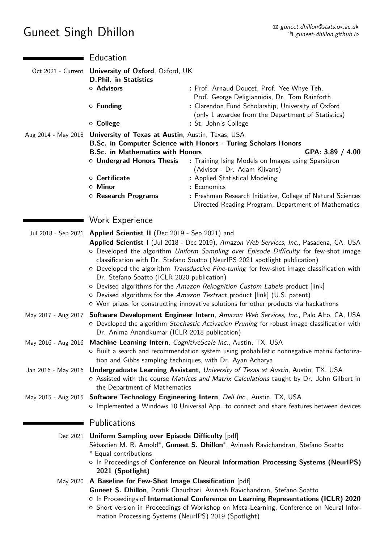## Guneet Singh Dhillon

|                     | Education                                                                                                                                      |                                                                                                                                                                                                                                                                                                                                                                                                                                                                                                                                                                                                                   |
|---------------------|------------------------------------------------------------------------------------------------------------------------------------------------|-------------------------------------------------------------------------------------------------------------------------------------------------------------------------------------------------------------------------------------------------------------------------------------------------------------------------------------------------------------------------------------------------------------------------------------------------------------------------------------------------------------------------------------------------------------------------------------------------------------------|
|                     | Oct 2021 - Current University of Oxford, Oxford, UK<br><b>D.Phil. in Statistics</b>                                                            |                                                                                                                                                                                                                                                                                                                                                                                                                                                                                                                                                                                                                   |
|                     | o Advisors<br>$\circ$ Funding                                                                                                                  | : Prof. Arnaud Doucet, Prof. Yee Whye Teh,<br>Prof. George Deligiannidis, Dr. Tom Rainforth<br>: Clarendon Fund Scholarship, University of Oxford                                                                                                                                                                                                                                                                                                                                                                                                                                                                 |
|                     | o College                                                                                                                                      | (only 1 awardee from the Department of Statistics)<br>: St. John's College                                                                                                                                                                                                                                                                                                                                                                                                                                                                                                                                        |
| Aug 2014 - May 2018 | University of Texas at Austin, Austin, Texas, USA<br><b>B.Sc. in Mathematics with Honors</b><br>o Undergrad Honors Thesis<br>○ Certificate     | B.Sc. in Computer Science with Honors - Turing Scholars Honors<br>GPA: 3.89 / 4.00<br>: Training Ising Models on Images using Sparsitron<br>(Advisor - Dr. Adam Klivans)<br>: Applied Statistical Modeling                                                                                                                                                                                                                                                                                                                                                                                                        |
|                     | ○ Minor                                                                                                                                        | : Economics                                                                                                                                                                                                                                                                                                                                                                                                                                                                                                                                                                                                       |
|                     | o Research Programs                                                                                                                            | : Freshman Research Initiative, College of Natural Sciences<br>Directed Reading Program, Department of Mathematics                                                                                                                                                                                                                                                                                                                                                                                                                                                                                                |
|                     | Work Experience                                                                                                                                |                                                                                                                                                                                                                                                                                                                                                                                                                                                                                                                                                                                                                   |
| Jul 2018 - Sep 2021 | Applied Scientist II (Dec 2019 - Sep 2021) and<br>Dr. Stefano Soatto (ICLR 2020 publication)                                                   | Applied Scientist I (Jul 2018 - Dec 2019), Amazon Web Services, Inc., Pasadena, CA, USA<br>o Developed the algorithm Uniform Sampling over Episode Difficulty for few-shot image<br>classification with Dr. Stefano Soatto (NeurlPS 2021 spotlight publication)<br>o Developed the algorithm Transductive Fine-tuning for few-shot image classification with<br>o Devised algorithms for the Amazon Rekognition Custom Labels product [link]<br>o Devised algorithms for the Amazon Textract product [link] (U.S. patent)<br>o Won prizes for constructing innovative solutions for other products via hackathons |
| May 2017 - Aug 2017 | Dr. Anima Anandkumar (ICLR 2018 publication)                                                                                                   | Software Development Engineer Intern, Amazon Web Services, Inc., Palo Alto, CA, USA<br>o Developed the algorithm Stochastic Activation Pruning for robust image classification with                                                                                                                                                                                                                                                                                                                                                                                                                               |
|                     | May 2016 - Aug 2016 Machine Learning Intern, CognitiveScale Inc., Austin, TX, USA<br>tion and Gibbs sampling techniques, with Dr. Ayan Acharya | O Built a search and recommendation system using probabilistic nonnegative matrix factoriza-                                                                                                                                                                                                                                                                                                                                                                                                                                                                                                                      |
| Jan 2016 - May 2016 | the Department of Mathematics                                                                                                                  | <b>Undergraduate Learning Assistant</b> , University of Texas at Austin, Austin, TX, USA<br>o Assisted with the course Matrices and Matrix Calculations taught by Dr. John Gilbert in                                                                                                                                                                                                                                                                                                                                                                                                                             |
|                     |                                                                                                                                                | May 2015 - Aug 2015 Software Technology Engineering Intern, Dell Inc., Austin, TX, USA<br>o Implemented a Windows 10 Universal App. to connect and share features between devices                                                                                                                                                                                                                                                                                                                                                                                                                                 |
|                     | Publications                                                                                                                                   |                                                                                                                                                                                                                                                                                                                                                                                                                                                                                                                                                                                                                   |
|                     | Dec 2021 Uniform Sampling over Episode Difficulty [pdf]<br>* Equal contributions<br>2021 (Spotlight)                                           | Sèbastien M. R. Arnold*, Guneet S. Dhillon*, Avinash Ravichandran, Stefano Soatto<br>o In Proceedings of Conference on Neural Information Processing Systems (NeurlPS)                                                                                                                                                                                                                                                                                                                                                                                                                                            |
|                     | May 2020 A Baseline for Few-Shot Image Classification [pdf]<br>mation Processing Systems (NeurlPS) 2019 (Spotlight)                            | Guneet S. Dhillon, Pratik Chaudhari, Avinash Ravichandran, Stefano Soatto<br>o In Proceedings of International Conference on Learning Representations (ICLR) 2020<br>o Short version in Proceedings of Workshop on Meta-Learning, Conference on Neural Infor-                                                                                                                                                                                                                                                                                                                                                     |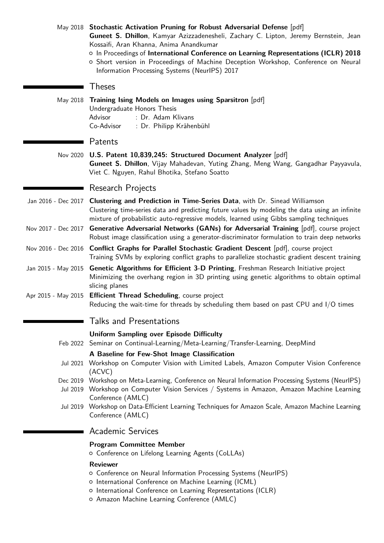|                     | May 2018 Stochastic Activation Pruning for Robust Adversarial Defense [pdf]<br>Guneet S. Dhillon, Kamyar Azizzadenesheli, Zachary C. Lipton, Jeremy Bernstein, Jean<br>Kossaifi, Aran Khanna, Anima Anandkumar<br>o In Proceedings of International Conference on Learning Representations (ICLR) 2018<br>o Short version in Proceedings of Machine Deception Workshop, Conference on Neural<br>Information Processing Systems (NeurlPS) 2017 |
|---------------------|-----------------------------------------------------------------------------------------------------------------------------------------------------------------------------------------------------------------------------------------------------------------------------------------------------------------------------------------------------------------------------------------------------------------------------------------------|
|                     | <b>Theses</b>                                                                                                                                                                                                                                                                                                                                                                                                                                 |
| May 2018            | Training Ising Models on Images using Sparsitron [pdf]<br>Undergraduate Honors Thesis<br>: Dr. Adam Klivans<br>Advisor<br>Co-Advisor<br>: Dr. Philipp Krähenbühl                                                                                                                                                                                                                                                                              |
|                     | Patents                                                                                                                                                                                                                                                                                                                                                                                                                                       |
|                     | Nov 2020 U.S. Patent 10,839,245: Structured Document Analyzer [pdf]<br>Guneet S. Dhillon, Vijay Mahadevan, Yuting Zhang, Meng Wang, Gangadhar Payyavula,<br>Viet C. Nguyen, Rahul Bhotika, Stefano Soatto                                                                                                                                                                                                                                     |
|                     | Research Projects                                                                                                                                                                                                                                                                                                                                                                                                                             |
|                     | Jan 2016 - Dec 2017 Clustering and Prediction in Time-Series Data, with Dr. Sinead Williamson<br>Clustering time-series data and predicting future values by modeling the data using an infinite<br>mixture of probabilistic auto-regressive models, learned using Gibbs sampling techniques                                                                                                                                                  |
| Nov 2017 - Dec 2017 | Generative Adversarial Networks (GANs) for Adversarial Training [pdf], course project<br>Robust image classification using a generator-discriminator formulation to train deep networks                                                                                                                                                                                                                                                       |
|                     | Nov 2016 - Dec 2016 Conflict Graphs for Parallel Stochastic Gradient Descent [pdf], course project<br>Training SVMs by exploring conflict graphs to parallelize stochastic gradient descent training                                                                                                                                                                                                                                          |
|                     | Jan 2015 - May 2015 Genetic Algorithms for Efficient 3-D Printing, Freshman Research Initiative project<br>Minimizing the overhang region in 3D printing using genetic algorithms to obtain optimal<br>slicing planes                                                                                                                                                                                                                         |
| Apr 2015 - May 2015 | Efficient Thread Scheduling, course project<br>Reducing the wait-time for threads by scheduling them based on past CPU and I/O times                                                                                                                                                                                                                                                                                                          |
|                     | <b>Talks and Presentations</b>                                                                                                                                                                                                                                                                                                                                                                                                                |
|                     | <b>Uniform Sampling over Episode Difficulty</b><br>Feb 2022 Seminar on Continual-Learning/Meta-Learning/Transfer-Learning, DeepMind                                                                                                                                                                                                                                                                                                           |
|                     | A Baseline for Few-Shot Image Classification<br>Jul 2021 Workshop on Computer Vision with Limited Labels, Amazon Computer Vision Conference<br>(ACVC)                                                                                                                                                                                                                                                                                         |
|                     | Dec 2019 Workshop on Meta-Learning, Conference on Neural Information Processing Systems (NeurlPS)<br>Jul 2019 Workshop on Computer Vision Services / Systems in Amazon, Amazon Machine Learning<br>Conference (AMLC)                                                                                                                                                                                                                          |
|                     | Jul 2019 Workshop on Data-Efficient Learning Techniques for Amazon Scale, Amazon Machine Learning<br>Conference (AMLC)                                                                                                                                                                                                                                                                                                                        |
|                     | <b>Academic Services</b>                                                                                                                                                                                                                                                                                                                                                                                                                      |
|                     | <b>Program Committee Member</b><br>o Conference on Lifelong Learning Agents (CoLLAs)                                                                                                                                                                                                                                                                                                                                                          |
|                     | <b>Reviewer</b>                                                                                                                                                                                                                                                                                                                                                                                                                               |

- { Conference on Neural Information Processing Systems (NeurIPS)
- { International Conference on Machine Learning (ICML)
- { International Conference on Learning Representations (ICLR)
- { Amazon Machine Learning Conference (AMLC)